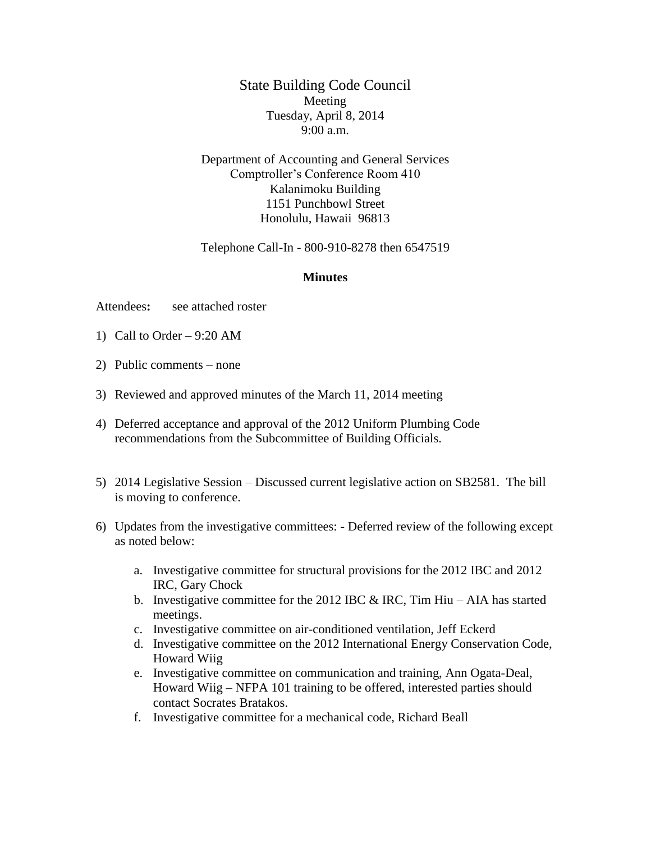State Building Code Council Meeting Tuesday, April 8, 2014 9:00 a.m.

Department of Accounting and General Services Comptroller's Conference Room 410 Kalanimoku Building 1151 Punchbowl Street Honolulu, Hawaii 96813

Telephone Call-In - 800-910-8278 then 6547519

## **Minutes**

Attendees**:** see attached roster

- 1) Call to Order 9:20 AM
- 2) Public comments none
- 3) Reviewed and approved minutes of the March 11, 2014 meeting
- 4) Deferred acceptance and approval of the 2012 Uniform Plumbing Code recommendations from the Subcommittee of Building Officials.
- 5) 2014 Legislative Session Discussed current legislative action on SB2581. The bill is moving to conference.
- 6) Updates from the investigative committees: Deferred review of the following except as noted below:
	- a. Investigative committee for structural provisions for the 2012 IBC and 2012 IRC, Gary Chock
	- b. Investigative committee for the 2012 IBC  $&$  IRC, Tim Hiu AIA has started meetings.
	- c. Investigative committee on air-conditioned ventilation, Jeff Eckerd
	- d. Investigative committee on the 2012 International Energy Conservation Code, Howard Wiig
	- e. Investigative committee on communication and training, Ann Ogata-Deal, Howard Wiig – NFPA 101 training to be offered, interested parties should contact Socrates Bratakos.
	- f. Investigative committee for a mechanical code, Richard Beall